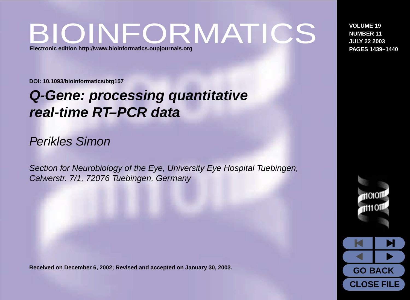## BIOINFORMATICS **Electronic edition <http://www.bioinformatics.oupjournals.org>**

**VOLUME 19 NUMBER 11 JULY 22 2003 PAGES 1439–1440**

**DOI: 10.1093/bioinformatics/btg157**

# **Q-Gene: processing quantitative real-time RT–PCR data**

### Perikles Simon

Section for Neurobiology of the Eye, University Eye Hospital Tuebingen, Calwerstr. 7/1, 72076 Tuebingen, Germany

**Received on December 6, 2002; Revised and accepted on January 30, 2003.**



**CLOSE FILE**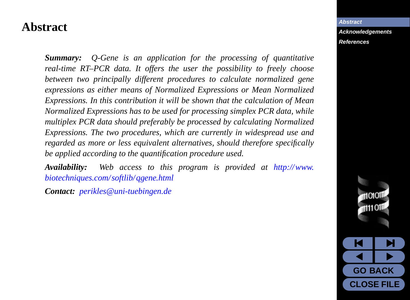### <span id="page-1-0"></span>**Abstract**

*Summary: Q-Gene is an application for the processing of quantitative real-time RT–PCR data. It offers the user the possibility to freely choose between two principally different procedures to calculate normalized gene expressions as either means of Normalized Expressions or Mean Normalized Expressions. In this contribution it will be shown that the calculation of Mean Normalized Expressions has to be used for processing simplex PCR data, while multiplex PCR data should preferably be processed by calculating Normalized Expressions. The two procedures, which are currently in widespread use and regarded as more or less equivalent alternatives, should therefore specifically be applied according to the quantification procedure used.*

*Availability: Web access to this program is provided at [http://www.](http://www.biotechniques.com/softlib/qgene.html) [biotechniques.com/softlib/qgene.html](http://www.biotechniques.com/softlib/qgene.html)*

*Contact: [perikles@uni-tuebingen.de](mailto:perikles@uni-tuebingen.de)*

**Abstract [Acknowledgements](#page-7-0) [References](#page-8-0)**

> **K M**  $\overline{\bullet}$

**GO BACK CLOSE FILE**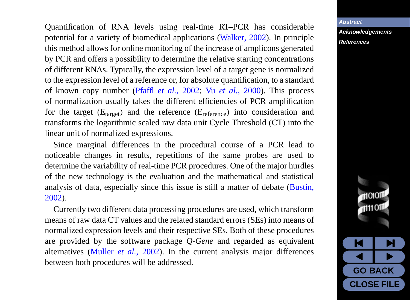Quantification of RNA levels using real-time RT–PCR has considerable potential for a variety of biomedical applications ([Walker](#page-8-0), [2002\)](#page-8-0). In principle this method allows for online monitoring of the increase of amplicons generated by PCR and offers a possibility to determine the relative starting concentrations of different RNAs. Typically, the expression level of a target gene is normalized to the expression level of a reference or, for absolute quantification, to a standard of known copy number [\(Pfaffl](#page-8-0) *et al.*, [2002](#page-8-0); Vu *[et al.](#page-8-0)*, [2000](#page-8-0)). This process of normalization usually takes the different efficiencies of PCR amplification for the target  $(E<sub>target</sub>)$  and the reference  $(E<sub>reference</sub>)$  into consideration and transforms the logarithmic scaled raw data unit Cycle Threshold (CT) into the linear unit of normalized expressions.

Since marginal differences in the procedural course of a PCR lead to noticeable changes in results, repetitions of the same probes are used to determine the variability of real-time PCR procedures. One of the major hurdles of the new technology is the evaluation and the mathematical and statistical analysis of data, especially since this issue is still a matter of debate ([Bustin](#page-8-0), [2002\)](#page-8-0).

Currently two different data processing procedures are used, which transform means of raw data CT values and the related standard errors (SEs) into means of normalized expression levels and their respective SEs. Both of these procedures are provided by the software package *Q-Gene* and regarded as equivalent alternatives [\(Muller](#page-8-0) *et al.*, [2002\)](#page-8-0). In the current analysis major differences between both procedures will be addressed.

#### **[Abstract](#page-1-0)**

**[Acknowledgements](#page-7-0) [References](#page-8-0)**

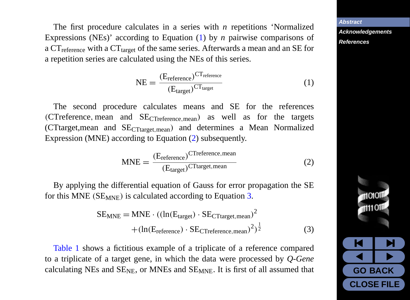<span id="page-3-0"></span>The first procedure calculates in a series with *n* repetitions 'Normalized Expressions (NEs)' according to Equation (1) by *n* pairwise comparisons of a  $CT_{reference}$  with a  $CT_{target}$  of the same series. Afterwards a mean and an SE for a repetition series are calculated using the NEs of this series.

$$
NE = \frac{(E_{reference})^{CT_{reference}}}{(E_{target})^{CT_{target}}}
$$
 (1)

The second procedure calculates means and SE for the references (CTreference, mean and SECTreference,mean) as well as for the targets (CTtarget,mean and SECTtarget,mean) and determines a Mean Normalized Expression (MNE) according to Equation (2) subsequently.

$$
MNE = \frac{(E_{reference})^{\text{CTreference, mean}}}{(E_{target})^{\text{CTtarget, mean}}}
$$
(2)

By applying the differential equation of Gauss for error propagation the SE for this MNE ( $SE_{MNE}$ ) is calculated according to Equation 3.

$$
SE_{MNE} = MNE \cdot ((ln(E_{target}) \cdot SE_{CTtarget, mean})^{2} + (ln(E_{reference}) \cdot SE_{CTreference, mean})^{2})^{\frac{1}{2}}
$$
(3)

[Table 1](#page-5-0) shows a fictitious example of a triplicate of a reference compared to a triplicate of a target gene, in which the data were processed by *Q-Gene* calculating NEs and  $SE<sub>NE</sub>$ , or MNEs and  $SE<sub>MNE</sub>$ . It is first of all assumed that



**[Abstract](#page-1-0) [Acknowledgements](#page-7-0) [References](#page-8-0)**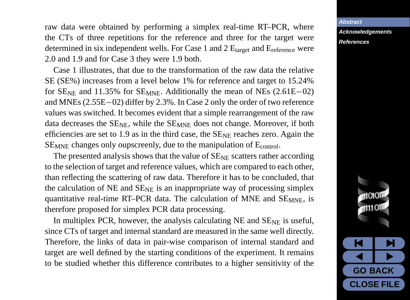raw data were obtained by performing a simplex real-time RT–PCR, where the CTs of three repetitions for the reference and three for the target were determined in six independent wells. For Case 1 and 2  $E_{\text{target}}$  and  $E_{\text{reference}}$  were 2.0 and 1.9 and for Case 3 they were 1.9 both.

Case 1 illustrates, that due to the transformation of the raw data the relative SE (SE%) increases from a level below 1% for reference and target to 15.24% for  $SE_{NE}$  and 11.35% for  $SE_{MNE}$ . Additionally the mean of NEs (2.61E–02) and MNEs (2.55E−02) differ by 2.3%. In Case 2 only the order of two reference values was switched. It becomes evident that a simple rearrangement of the raw data decreases the  $SE<sub>NE</sub>$ , while the  $SE<sub>MNE</sub>$  does not change. Moreover, if both efficiencies are set to 1.9 as in the third case, the  $SE<sub>NE</sub>$  reaches zero. Again the SE<sub>MNE</sub> changes only oupscreenly, due to the manipulation of E<sub>control</sub>.

The presented analysis shows that the value of  $SE_{NE}$  scatters rather according to the selection of target and reference values, which are compared to each other, than reflecting the scattering of raw data. Therefore it has to be concluded, that the calculation of NE and  $SE_{NE}$  is an inappropriate way of processing simplex quantitative real-time RT–PCR data. The calculation of MNE and  $SE_{MNE}$ , is therefore proposed for simplex PCR data processing.

In multiplex PCR, however, the analysis calculating NE and  $SE_{NE}$  is useful, since CTs of target and internal standard are measured in the same well directly. Therefore, the links of data in pair-wise comparison of internal standard and target are well defined by the starting conditions of the experiment. It remains to be studied whether this difference contributes to a higher sensitivity of the

**[Abstract](#page-1-0) [Acknowledgements](#page-7-0)**

#### **[References](#page-8-0)**

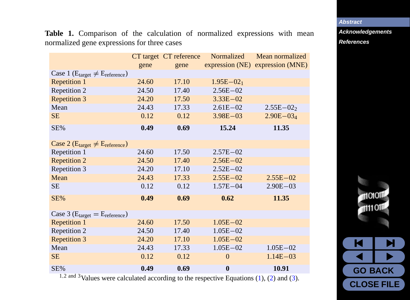**[Abstract](#page-1-0)**

**[Acknowledgements](#page-7-0) [References](#page-8-0)**

> M I M  $\overline{\bullet}$

1101011  $\blacksquare$ 111011

**GO BACK CLOSE FILE**

<span id="page-5-0"></span>**Table 1.** Comparison of the calculation of normalized expressions with mean normalized gene expressions for three cases

|                                                          |       | CT target CT reference | Normalized    | Mean normalized                  |
|----------------------------------------------------------|-------|------------------------|---------------|----------------------------------|
|                                                          | gene  | gene                   |               | expression (NE) expression (MNE) |
| Case 1 ( $E_{\text{target}} \neq E_{\text{reference}}$ ) |       |                        |               |                                  |
| Repetition 1                                             | 24.60 | 17.10                  | $1.95E - 021$ |                                  |
| Repetition 2                                             | 24.50 | 17.40                  | $2.56E - 02$  |                                  |
| <b>Repetition 3</b>                                      | 24.20 | 17.50                  | $3.33E - 02$  |                                  |
| Mean                                                     | 24.43 | 17.33                  | $2.61E - 02$  | $2.55E - 022$                    |
| <b>SE</b>                                                | 0.12  | 0.12                   | $3.98E - 03$  | $2.90E - 034$                    |
| SE%                                                      | 0.49  | 0.69                   | 15.24         | 11.35                            |
| Case 2 ( $E_{target} \neq E_{reference}$ )               |       |                        |               |                                  |
| Repetition 1                                             | 24.60 | 17.50                  | $2.57E - 02$  |                                  |
| <b>Repetition 2</b>                                      | 24.50 | 17.40                  | $2.56E - 02$  |                                  |
| Repetition 3                                             | 24.20 | 17.10                  | $2.52E - 02$  |                                  |
| Mean                                                     | 24.43 | 17.33                  | $2.55E - 02$  | $2.55E - 02$                     |
| <b>SE</b>                                                | 0.12  | 0.12                   | $1.57E - 04$  | $2.90E - 03$                     |
| SE%                                                      | 0.49  | 0.69                   | 0.62          | 11.35                            |
| Case 3 ( $E_{\text{target}} = E_{\text{reference}}$ )    |       |                        |               |                                  |
| <b>Repetition 1</b>                                      | 24.60 | 17.50                  | $1.05E - 02$  |                                  |
| Repetition 2                                             | 24.50 | 17.40                  | $1.05E - 02$  |                                  |
| <b>Repetition 3</b>                                      | 24.20 | 17.10                  | $1.05E - 02$  |                                  |
| Mean                                                     | 24.43 | 17.33                  | $1.05E - 02$  | $1.05E - 02$                     |
| SЕ                                                       | 0.12  | 0.12                   | $\Omega$      | $1.14E - 03$                     |
| SE%                                                      | 0.49  | 0.69                   | $\bf{0}$      | 10.91                            |

<sup>1</sup>,2 and 3Values were calculated according to the respective Equations [\(1](#page-3-0)), ([2\)](#page-3-0) and ([3\)](#page-3-0).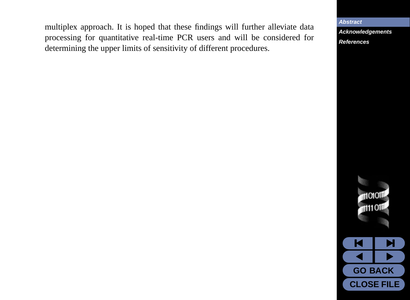multiplex approach. It is hoped that these findings will further alleviate data processing for quantitative real-time PCR users and will be considered for determining the upper limits of sensitivity of different procedures.

**[Abstract](#page-1-0)**

**[Acknowledgements](#page-7-0) [References](#page-8-0)**



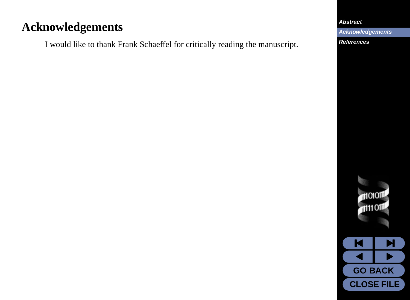## <span id="page-7-0"></span>**Acknowledgements**

I would like to thank Frank Schaeffel for critically reading the manuscript.

#### **[Abstract](#page-1-0)**

**Acknowledgements**

**[References](#page-8-0)**